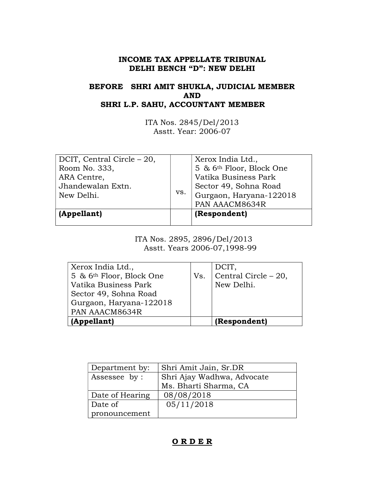# INCOME TAX APPELLATE TRIBUNAL DELHI BENCH "D": NEW DELHI

# BEFORE SHRI AMIT SHUKLA, JUDICIAL MEMBER AND SHRI L.P. SAHU, ACCOUNTANT MEMBER

ITA Nos. 2845/Del/2013 Asstt. Year: 2006-07

| DCIT, Central Circle – 20,<br>Room No. 333,<br>ARA Centre,<br>Jhandewalan Extn.<br>New Delhi. | VS. | Xerox India Ltd.,<br>5 & 6 <sup>th</sup> Floor, Block One<br>Vatika Business Park<br>Sector 49, Sohna Road<br>Gurgaon, Haryana-122018 |  |
|-----------------------------------------------------------------------------------------------|-----|---------------------------------------------------------------------------------------------------------------------------------------|--|
|                                                                                               |     | PAN AAACM8634R                                                                                                                        |  |
| (Appellant)                                                                                   |     | (Respondent)                                                                                                                          |  |

 ITA Nos. 2895, 2896/Del/2013 Asstt. Years 2006-07,1998-99

| Xerox India Ltd.,                    |     | DCIT,                |
|--------------------------------------|-----|----------------------|
| 5 & 6 <sup>th</sup> Floor, Block One | Vs. | Central Circle - 20, |
| Vatika Business Park                 |     | New Delhi.           |
| Sector 49, Sohna Road                |     |                      |
| Gurgaon, Haryana-122018              |     |                      |
| PAN AAACM8634R                       |     |                      |
| (Appellant)                          |     | (Respondent)         |

| Department by:  | Shri Amit Jain, Sr.DR      |  |
|-----------------|----------------------------|--|
| Assessee by:    | Shri Ajay Wadhwa, Advocate |  |
|                 | Ms. Bharti Sharma, CA      |  |
| Date of Hearing | 08/08/2018                 |  |
| Date of         | 05/11/2018                 |  |
| pronouncement   |                            |  |

# O R D E R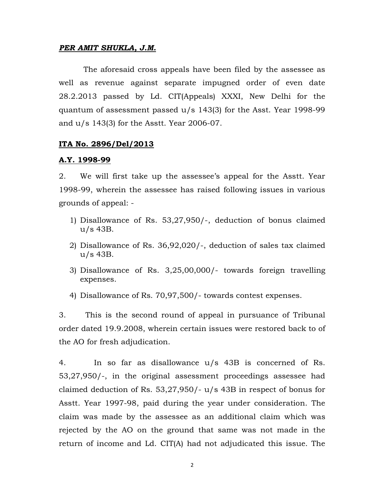### PER AMIT SHUKLA, J.M.

 The aforesaid cross appeals have been filed by the assessee as well as revenue against separate impugned order of even date 28.2.2013 passed by Ld. CIT(Appeals) XXXI, New Delhi for the quantum of assessment passed u/s 143(3) for the Asst. Year 1998-99 and u/s 143(3) for the Asstt. Year 2006-07.

### ITA No. 2896/Del/2013

#### A.Y. 1998-99

2. We will first take up the assessee's appeal for the Asstt. Year 1998-99, wherein the assessee has raised following issues in various grounds of appeal: -

- 1) Disallowance of Rs. 53,27,950/-, deduction of bonus claimed u/s 43B.
- 2) Disallowance of Rs. 36,92,020/-, deduction of sales tax claimed u/s 43B.
- 3) Disallowance of Rs. 3,25,00,000/- towards foreign travelling expenses.
- 4) Disallowance of Rs. 70,97,500/- towards contest expenses.

3. This is the second round of appeal in pursuance of Tribunal order dated 19.9.2008, wherein certain issues were restored back to of the AO for fresh adjudication.

4. In so far as disallowance u/s 43B is concerned of Rs. 53,27,950/-, in the original assessment proceedings assessee had claimed deduction of Rs. 53,27,950/- u/s 43B in respect of bonus for Asstt. Year 1997-98, paid during the year under consideration. The claim was made by the assessee as an additional claim which was rejected by the AO on the ground that same was not made in the return of income and Ld. CIT(A) had not adjudicated this issue. The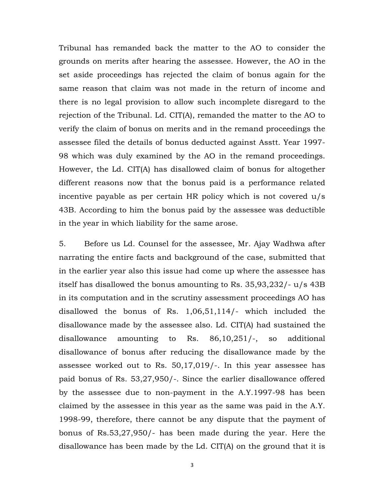Tribunal has remanded back the matter to the AO to consider the grounds on merits after hearing the assessee. However, the AO in the set aside proceedings has rejected the claim of bonus again for the same reason that claim was not made in the return of income and there is no legal provision to allow such incomplete disregard to the rejection of the Tribunal. Ld. CIT(A), remanded the matter to the AO to verify the claim of bonus on merits and in the remand proceedings the assessee filed the details of bonus deducted against Asstt. Year 1997- 98 which was duly examined by the AO in the remand proceedings. However, the Ld. CIT(A) has disallowed claim of bonus for altogether different reasons now that the bonus paid is a performance related incentive payable as per certain HR policy which is not covered u/s 43B. According to him the bonus paid by the assessee was deductible in the year in which liability for the same arose.

5. Before us Ld. Counsel for the assessee, Mr. Ajay Wadhwa after narrating the entire facts and background of the case, submitted that in the earlier year also this issue had come up where the assessee has itself has disallowed the bonus amounting to Rs. 35,93,232/- u/s 43B in its computation and in the scrutiny assessment proceedings AO has disallowed the bonus of Rs. 1,06,51,114/- which included the disallowance made by the assessee also. Ld. CIT(A) had sustained the disallowance amounting to Rs. 86,10,251/-, so additional disallowance of bonus after reducing the disallowance made by the assessee worked out to Rs. 50,17,019/-. In this year assessee has paid bonus of Rs. 53,27,950/-. Since the earlier disallowance offered by the assessee due to non-payment in the A.Y.1997-98 has been claimed by the assessee in this year as the same was paid in the A.Y. 1998-99, therefore, there cannot be any dispute that the payment of bonus of Rs.53,27,950/- has been made during the year. Here the disallowance has been made by the Ld. CIT(A) on the ground that it is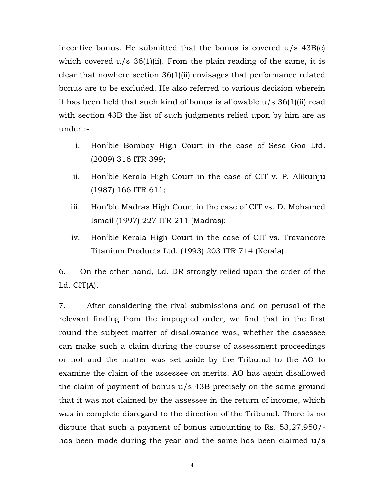incentive bonus. He submitted that the bonus is covered  $u/s$  43B(c) which covered  $u/s$  36(1)(ii). From the plain reading of the same, it is clear that nowhere section 36(1)(ii) envisages that performance related bonus are to be excluded. He also referred to various decision wherein it has been held that such kind of bonus is allowable u/s 36(1)(ii) read with section 43B the list of such judgments relied upon by him are as under :-

- i. Hon'ble Bombay High Court in the case of Sesa Goa Ltd. (2009) 316 ITR 399;
- ii. Hon'ble Kerala High Court in the case of CIT v. P. Alikunju (1987) 166 ITR 611;
- iii. Hon'ble Madras High Court in the case of CIT vs. D. Mohamed Ismail (1997) 227 ITR 211 (Madras);
- iv. Hon'ble Kerala High Court in the case of CIT vs. Travancore Titanium Products Ltd. (1993) 203 ITR 714 (Kerala).

6. On the other hand, Ld. DR strongly relied upon the order of the Ld. CIT(A).

7. After considering the rival submissions and on perusal of the relevant finding from the impugned order, we find that in the first round the subject matter of disallowance was, whether the assessee can make such a claim during the course of assessment proceedings or not and the matter was set aside by the Tribunal to the AO to examine the claim of the assessee on merits. AO has again disallowed the claim of payment of bonus u/s 43B precisely on the same ground that it was not claimed by the assessee in the return of income, which was in complete disregard to the direction of the Tribunal. There is no dispute that such a payment of bonus amounting to Rs. 53,27,950/ has been made during the year and the same has been claimed u/s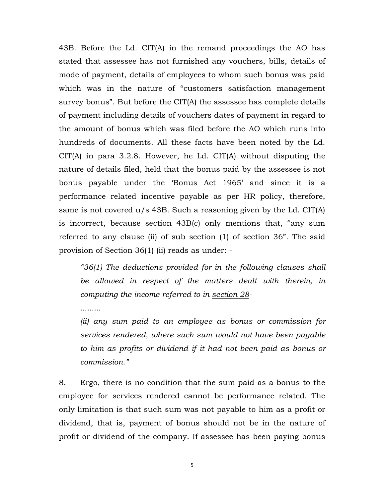43B. Before the Ld. CIT(A) in the remand proceedings the AO has stated that assessee has not furnished any vouchers, bills, details of mode of payment, details of employees to whom such bonus was paid which was in the nature of "customers satisfaction management survey bonus". But before the CIT(A) the assessee has complete details of payment including details of vouchers dates of payment in regard to the amount of bonus which was filed before the AO which runs into hundreds of documents. All these facts have been noted by the Ld. CIT(A) in para 3.2.8. However, he Ld. CIT(A) without disputing the nature of details filed, held that the bonus paid by the assessee is not bonus payable under the 'Bonus Act 1965' and since it is a performance related incentive payable as per HR policy, therefore, same is not covered  $u/s$  43B. Such a reasoning given by the Ld. CIT(A) is incorrect, because section 43B(c) only mentions that, "any sum referred to any clause (ii) of sub section (1) of section 36". The said provision of Section 36(1) (ii) reads as under: -

"36(1) The deductions provided for in the following clauses shall be allowed in respect of the matters dealt with therein, in computing the income referred to in section 28-

.........

(ii) any sum paid to an employee as bonus or commission for services rendered, where such sum would not have been payable to him as profits or dividend if it had not been paid as bonus or commission."

8. Ergo, there is no condition that the sum paid as a bonus to the employee for services rendered cannot be performance related. The only limitation is that such sum was not payable to him as a profit or dividend, that is, payment of bonus should not be in the nature of profit or dividend of the company. If assessee has been paying bonus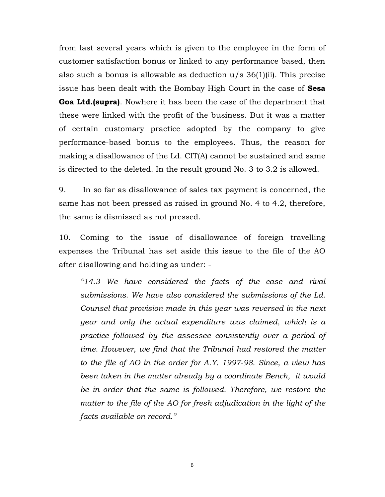from last several years which is given to the employee in the form of customer satisfaction bonus or linked to any performance based, then also such a bonus is allowable as deduction u/s 36(1)(ii). This precise issue has been dealt with the Bombay High Court in the case of Sesa Goa Ltd.(supra). Nowhere it has been the case of the department that these were linked with the profit of the business. But it was a matter of certain customary practice adopted by the company to give performance-based bonus to the employees. Thus, the reason for making a disallowance of the Ld. CIT(A) cannot be sustained and same is directed to the deleted. In the result ground No. 3 to 3.2 is allowed.

9. In so far as disallowance of sales tax payment is concerned, the same has not been pressed as raised in ground No. 4 to 4.2, therefore, the same is dismissed as not pressed.

10. Coming to the issue of disallowance of foreign travelling expenses the Tribunal has set aside this issue to the file of the AO after disallowing and holding as under: -

"14.3 We have considered the facts of the case and rival submissions. We have also considered the submissions of the Ld. Counsel that provision made in this year was reversed in the next year and only the actual expenditure was claimed, which is a practice followed by the assessee consistently over a period of time. However, we find that the Tribunal had restored the matter to the file of AO in the order for A.Y. 1997-98. Since, a view has been taken in the matter already by a coordinate Bench, it would be in order that the same is followed. Therefore, we restore the matter to the file of the AO for fresh adjudication in the light of the facts available on record."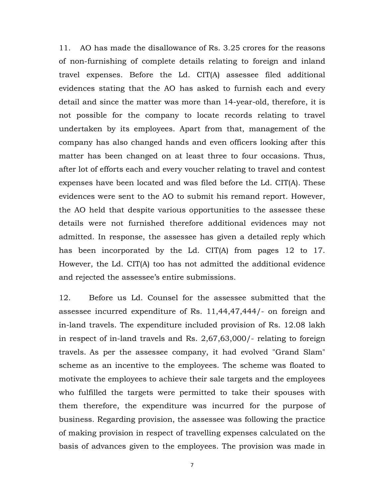11. AO has made the disallowance of Rs. 3.25 crores for the reasons of non-furnishing of complete details relating to foreign and inland travel expenses. Before the Ld. CIT(A) assessee filed additional evidences stating that the AO has asked to furnish each and every detail and since the matter was more than 14-year-old, therefore, it is not possible for the company to locate records relating to travel undertaken by its employees. Apart from that, management of the company has also changed hands and even officers looking after this matter has been changed on at least three to four occasions. Thus, after lot of efforts each and every voucher relating to travel and contest expenses have been located and was filed before the Ld. CIT(A). These evidences were sent to the AO to submit his remand report. However, the AO held that despite various opportunities to the assessee these details were not furnished therefore additional evidences may not admitted. In response, the assessee has given a detailed reply which has been incorporated by the Ld. CIT(A) from pages 12 to 17. However, the Ld. CIT(A) too has not admitted the additional evidence and rejected the assessee's entire submissions.

12. Before us Ld. Counsel for the assessee submitted that the assessee incurred expenditure of Rs. 11,44,47,444/- on foreign and in-land travels. The expenditure included provision of Rs. 12.08 lakh in respect of in-land travels and Rs. 2,67,63,000/- relating to foreign travels. As per the assessee company, it had evolved "Grand Slam" scheme as an incentive to the employees. The scheme was floated to motivate the employees to achieve their sale targets and the employees who fulfilled the targets were permitted to take their spouses with them therefore, the expenditure was incurred for the purpose of business. Regarding provision, the assessee was following the practice of making provision in respect of travelling expenses calculated on the basis of advances given to the employees. The provision was made in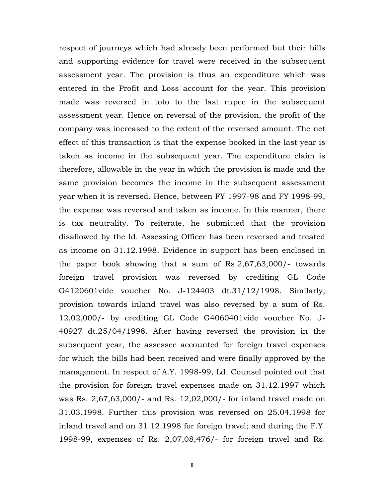respect of journeys which had already been performed but their bills and supporting evidence for travel were received in the subsequent assessment year. The provision is thus an expenditure which was entered in the Profit and Loss account for the year. This provision made was reversed in toto to the last rupee in the subsequent assessment year. Hence on reversal of the provision, the profit of the company was increased to the extent of the reversed amount. The net effect of this transaction is that the expense booked in the last year is taken as income in the subsequent year. The expenditure claim is therefore, allowable in the year in which the provision is made and the same provision becomes the income in the subsequent assessment year when it is reversed. Hence, between FY 1997-98 and FY 1998-99, the expense was reversed and taken as income. In this manner, there is tax neutrality. To reiterate, he submitted that the provision disallowed by the Id. Assessing Officer has been reversed and treated as income on 31.12.1998. Evidence in support has been enclosed in the paper book showing that a sum of Rs.2,67,63,000/- towards foreign travel provision was reversed by crediting GL Code G4120601vide voucher No. J-124403 dt.31/12/1998. Similarly, provision towards inland travel was also reversed by a sum of Rs. 12,02,000/- by crediting GL Code G4060401vide voucher No. J-40927 dt.25/04/1998. After having reversed the provision in the subsequent year, the assessee accounted for foreign travel expenses for which the bills had been received and were finally approved by the management. In respect of A.Y. 1998-99, Ld. Counsel pointed out that the provision for foreign travel expenses made on 31.12.1997 which was Rs. 2,67,63,000/- and Rs. 12,02,000/- for inland travel made on 31.03.1998. Further this provision was reversed on 25.04.1998 for inland travel and on 31.12.1998 for foreign travel; and during the F.Y. 1998-99, expenses of Rs. 2,07,08,476/- for foreign travel and Rs.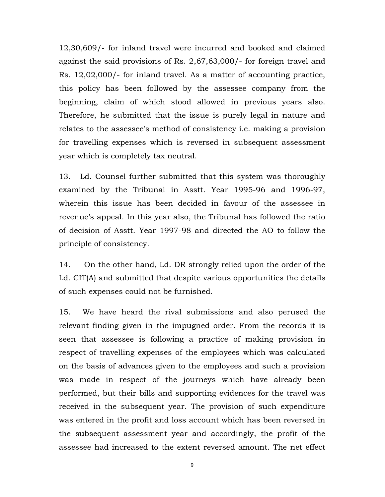12,30,609/- for inland travel were incurred and booked and claimed against the said provisions of Rs. 2,67,63,000/- for foreign travel and Rs. 12,02,000/- for inland travel. As a matter of accounting practice, this policy has been followed by the assessee company from the beginning, claim of which stood allowed in previous years also. Therefore, he submitted that the issue is purely legal in nature and relates to the assessee's method of consistency i.e. making a provision for travelling expenses which is reversed in subsequent assessment year which is completely tax neutral.

13. Ld. Counsel further submitted that this system was thoroughly examined by the Tribunal in Asstt. Year 1995-96 and 1996-97, wherein this issue has been decided in favour of the assessee in revenue's appeal. In this year also, the Tribunal has followed the ratio of decision of Asstt. Year 1997-98 and directed the AO to follow the principle of consistency.

14. On the other hand, Ld. DR strongly relied upon the order of the Ld. CIT(A) and submitted that despite various opportunities the details of such expenses could not be furnished.

15. We have heard the rival submissions and also perused the relevant finding given in the impugned order. From the records it is seen that assessee is following a practice of making provision in respect of travelling expenses of the employees which was calculated on the basis of advances given to the employees and such a provision was made in respect of the journeys which have already been performed, but their bills and supporting evidences for the travel was received in the subsequent year. The provision of such expenditure was entered in the profit and loss account which has been reversed in the subsequent assessment year and accordingly, the profit of the assessee had increased to the extent reversed amount. The net effect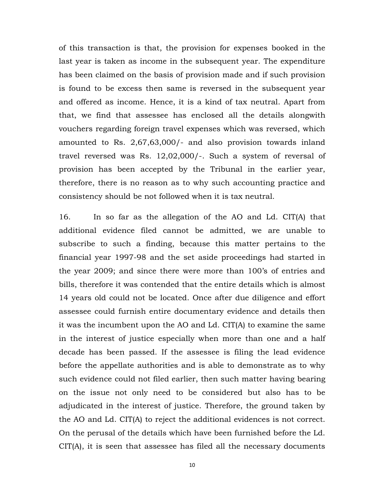of this transaction is that, the provision for expenses booked in the last year is taken as income in the subsequent year. The expenditure has been claimed on the basis of provision made and if such provision is found to be excess then same is reversed in the subsequent year and offered as income. Hence, it is a kind of tax neutral. Apart from that, we find that assessee has enclosed all the details alongwith vouchers regarding foreign travel expenses which was reversed, which amounted to Rs. 2,67,63,000/- and also provision towards inland travel reversed was Rs. 12,02,000/-. Such a system of reversal of provision has been accepted by the Tribunal in the earlier year, therefore, there is no reason as to why such accounting practice and consistency should be not followed when it is tax neutral.

16. In so far as the allegation of the AO and Ld. CIT(A) that additional evidence filed cannot be admitted, we are unable to subscribe to such a finding, because this matter pertains to the financial year 1997-98 and the set aside proceedings had started in the year 2009; and since there were more than 100's of entries and bills, therefore it was contended that the entire details which is almost 14 years old could not be located. Once after due diligence and effort assessee could furnish entire documentary evidence and details then it was the incumbent upon the AO and Ld. CIT(A) to examine the same in the interest of justice especially when more than one and a half decade has been passed. If the assessee is filing the lead evidence before the appellate authorities and is able to demonstrate as to why such evidence could not filed earlier, then such matter having bearing on the issue not only need to be considered but also has to be adjudicated in the interest of justice. Therefore, the ground taken by the AO and Ld. CIT(A) to reject the additional evidences is not correct. On the perusal of the details which have been furnished before the Ld. CIT(A), it is seen that assessee has filed all the necessary documents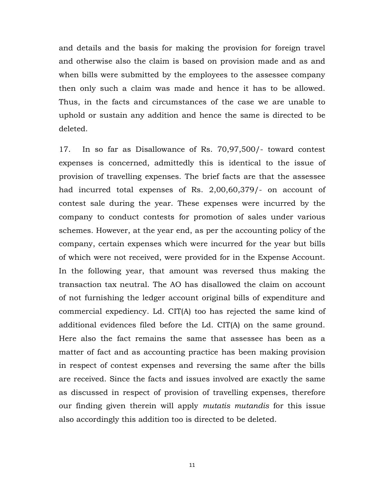and details and the basis for making the provision for foreign travel and otherwise also the claim is based on provision made and as and when bills were submitted by the employees to the assessee company then only such a claim was made and hence it has to be allowed. Thus, in the facts and circumstances of the case we are unable to uphold or sustain any addition and hence the same is directed to be deleted.

17. In so far as Disallowance of Rs. 70,97,500/- toward contest expenses is concerned, admittedly this is identical to the issue of provision of travelling expenses. The brief facts are that the assessee had incurred total expenses of Rs. 2,00,60,379/- on account of contest sale during the year. These expenses were incurred by the company to conduct contests for promotion of sales under various schemes. However, at the year end, as per the accounting policy of the company, certain expenses which were incurred for the year but bills of which were not received, were provided for in the Expense Account. In the following year, that amount was reversed thus making the transaction tax neutral. The AO has disallowed the claim on account of not furnishing the ledger account original bills of expenditure and commercial expediency. Ld. CIT(A) too has rejected the same kind of additional evidences filed before the Ld. CIT(A) on the same ground. Here also the fact remains the same that assessee has been as a matter of fact and as accounting practice has been making provision in respect of contest expenses and reversing the same after the bills are received. Since the facts and issues involved are exactly the same as discussed in respect of provision of travelling expenses, therefore our finding given therein will apply *mutatis mutandis* for this issue also accordingly this addition too is directed to be deleted.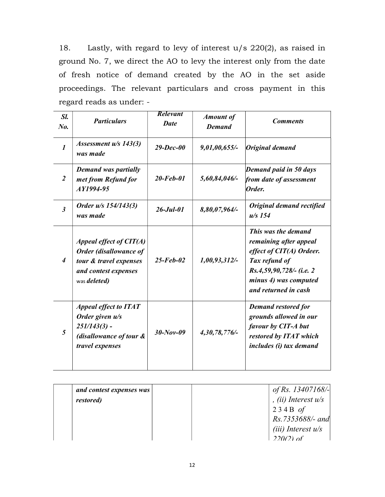18. Lastly, with regard to levy of interest u/s 220(2), as raised in ground No. 7, we direct the AO to levy the interest only from the date of fresh notice of demand created by the AO in the set aside proceedings. The relevant particulars and cross payment in this regard reads as under: -

| Sl.<br>$N_{0}$            | <b>Particulars</b>                                                                                                            | <b>Relevant</b><br><b>Date</b> | <b>Amount of</b><br><b>Demand</b> | <b>Comments</b>                                                                                                                                                           |
|---------------------------|-------------------------------------------------------------------------------------------------------------------------------|--------------------------------|-----------------------------------|---------------------------------------------------------------------------------------------------------------------------------------------------------------------------|
| $\mathbf{I}$              | Assessment $u/s$ 143(3)<br>was made                                                                                           | $29 - Dec - 00$                | 9,01,00,655/                      | Original demand                                                                                                                                                           |
| 2                         | <b>Demand was partially</b><br>met from Refund for<br>AY1994-95                                                               | $20$ -Feb-01                   | 5,60,84,046/-                     | Demand paid in 50 days<br>from date of assessment<br>Order.                                                                                                               |
| $\mathfrak{Z}$            | Order u/s 154/143(3)<br>was made                                                                                              | $26 - Jul - 01$                | 8,80,07,964/-                     | Original demand rectified<br>$u/s$ 154                                                                                                                                    |
| $\boldsymbol{\varLambda}$ | Appeal effect of $CIT(A)$<br>Order (disallowance of<br>tour & travel expenses<br>and contest expenses<br>was <i>deleted</i> ) | $25$ -Feb-02                   | 1,00,93,312/-                     | This was the demand<br>remaining after appeal<br>effect of $CIT(A)$ Ordeer.<br>Tax refund of<br>Rs.4,59,90,728/- (i.e. 2<br>minus 4) was computed<br>and returned in cash |
| 5                         | <b>Appeal effect to ITAT</b><br>Order given u/s<br>$251/143(3)$ -<br>(disallowance of tour &<br>travel expenses               | $30 - Nov - 09$                | 4,30,78,776/                      | <b>Demand restored for</b><br>grounds allowed in our<br>favour by CIT-A but<br>restored by ITAT which<br>includes (i) tax demand                                          |

| and contest expenses was<br><i>restored</i> ) | of Rs. 13407168/-<br>$\vert$ , (ii) Interest u/s<br>$234B$ of<br>$Rs.7353688/-$ and<br>$(iii)$ Interest $u/s$ |
|-----------------------------------------------|---------------------------------------------------------------------------------------------------------------|
|                                               | $220(2)$ of                                                                                                   |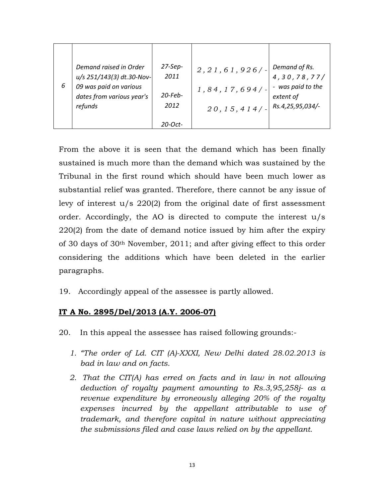| 6 | Demand raised in Order<br>u/s 251/143(3) dt.30-Nov-<br>09 was paid on various<br>dates from various year's<br>refunds | $27-Sep-$<br>2011<br>$20$ -Feb-<br>2012 | 2, 21, 61, 926/<br>1, 84, 17, 694/<br>20, 15, 414/ | Demand of Rs.<br>4, 30, 78, 77/<br>was paid to the<br>extent of<br>Rs.4,25,95,034/- |
|---|-----------------------------------------------------------------------------------------------------------------------|-----------------------------------------|----------------------------------------------------|-------------------------------------------------------------------------------------|
|   |                                                                                                                       | $20$ -Oct-                              |                                                    |                                                                                     |

From the above it is seen that the demand which has been finally sustained is much more than the demand which was sustained by the Tribunal in the first round which should have been much lower as substantial relief was granted. Therefore, there cannot be any issue of levy of interest u/s 220(2) from the original date of first assessment order. Accordingly, the AO is directed to compute the interest u/s 220(2) from the date of demand notice issued by him after the expiry of 30 days of 30th November, 2011; and after giving effect to this order considering the additions which have been deleted in the earlier paragraphs.

19. Accordingly appeal of the assessee is partly allowed.

# IT A No. 2895/Del/2013 (A.Y. 2006-07)

- 20. In this appeal the assessee has raised following grounds:-
	- 1. "The order of Ld. CIT (A)-XXXI, New Delhi dated 28.02.2013 is bad in law and on facts.
	- 2. That the CIT(A) has erred on facts and in law in not allowing deduction of royalty payment amounting to Rs.3,95,258j- as a revenue expenditure by erroneously alleging 20% of the royalty expenses incurred by the appellant attributable to use of trademark, and therefore capital in nature without appreciating the submissions filed and case laws relied on by the appellant.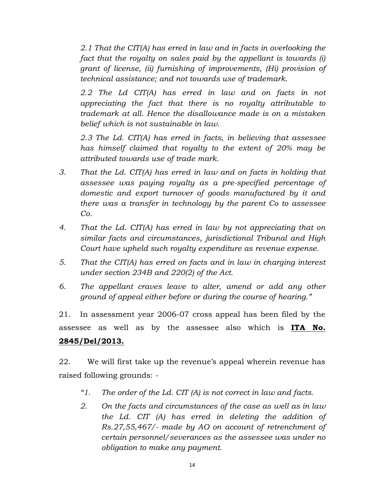2.1 That the CIT(A) has erred in law and in facts in overlooking the fact that the royalty on sales paid by the appellant is towards (i) grant of license, (ii) furnishing of improvements, (Hi) provision of technical assistance; and not towards use of trademark.

2.2 The Ld CIT(A) has erred in law and on facts in not appreciating the fact that there is no royalty attributable to trademark at all. Hence the disallowance made is on a mistaken belief which is not sustainable in law.

2.3 The Ld. CIT(A) has erred in facts, in believing that assessee has himself claimed that royalty to the extent of 20% may be attributed towards use of trade mark.

- 3. That the Ld. CIT(A) has erred in law and on facts in holding that assessee was paying royalty as a pre-specified percentage of domestic and export turnover of goods manufactured by it and there was a transfer in technology by the parent Co to assessee Co.
- 4. That the Ld. CIT(A) has erred in law by not appreciating that on similar facts and circumstances, jurisdictional Tribunal and High Court have upheld such royalty expenditure as revenue expense.
- 5. That the CIT(A) has erred on facts and in law in charging interest under section 234B and 220(2) of the Act.
- 6. The appellant craves leave to alter, amend or add any other ground of appeal either before or during the course of hearing."

21. In assessment year 2006-07 cross appeal has been filed by the assessee as well as by the assessee also which is **ITA No.** 2845/Del/2013.

22. We will first take up the revenue's appeal wherein revenue has raised following grounds: -

- "1. The order of the Ld. CIT  $(A)$  is not correct in law and facts.
- 2. On the facts and circumstances of the case as well as in law the Ld. CIT (A) has erred in deleting the addition of Rs.27,55,467/- made by AO on account of retrenchment of certain personnel/severances as the assessee was under no obligation to make any payment.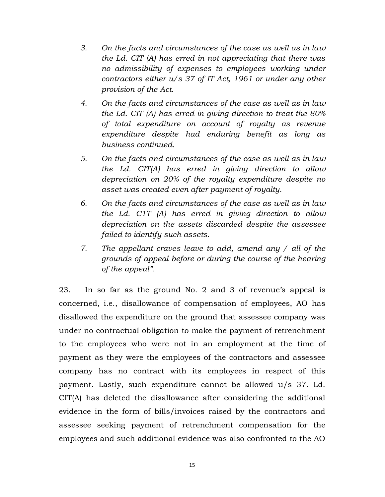- 3. On the facts and circumstances of the case as well as in law the Ld. CIT (A) has erred in not appreciating that there was no admissibility of expenses to employees working under contractors either u/s 37 of IT Act, 1961 or under any other provision of the Act.
- 4. On the facts and circumstances of the case as well as in law the Ld. CIT (A) has erred in giving direction to treat the 80% of total expenditure on account of royalty as revenue expenditure despite had enduring benefit as long as business continued.
- 5. On the facts and circumstances of the case as well as in law the Ld. CIT(A) has erred in giving direction to allow depreciation on 20% of the royalty expenditure despite no asset was created even after payment of royalty.
- 6. On the facts and circumstances of the case as well as in law the Ld. C1T (A) has erred in giving direction to allow depreciation on the assets discarded despite the assessee failed to identify such assets.
- 7. The appellant craves leave to add, amend any / all of the grounds of appeal before or during the course of the hearing of the appeal".

23. In so far as the ground No. 2 and 3 of revenue's appeal is concerned, i.e., disallowance of compensation of employees, AO has disallowed the expenditure on the ground that assessee company was under no contractual obligation to make the payment of retrenchment to the employees who were not in an employment at the time of payment as they were the employees of the contractors and assessee company has no contract with its employees in respect of this payment. Lastly, such expenditure cannot be allowed u/s 37. Ld. CIT(A) has deleted the disallowance after considering the additional evidence in the form of bills/invoices raised by the contractors and assessee seeking payment of retrenchment compensation for the employees and such additional evidence was also confronted to the AO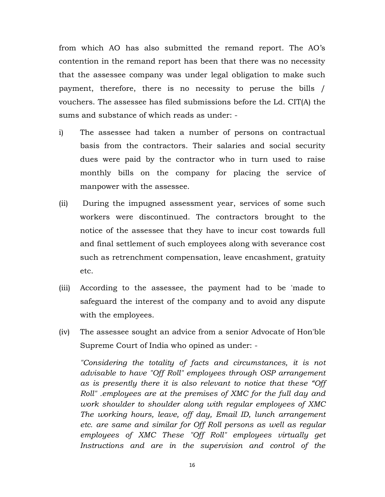from which AO has also submitted the remand report. The AO's contention in the remand report has been that there was no necessity that the assessee company was under legal obligation to make such payment, therefore, there is no necessity to peruse the bills / vouchers. The assessee has filed submissions before the Ld. CIT(A) the sums and substance of which reads as under: -

- i) The assessee had taken a number of persons on contractual basis from the contractors. Their salaries and social security dues were paid by the contractor who in turn used to raise monthly bills on the company for placing the service of manpower with the assessee.
- (ii) During the impugned assessment year, services of some such workers were discontinued. The contractors brought to the notice of the assessee that they have to incur cost towards full and final settlement of such employees along with severance cost such as retrenchment compensation, leave encashment, gratuity etc.
- (iii) According to the assessee, the payment had to be 'made to safeguard the interest of the company and to avoid any dispute with the employees.
- (iv) The assessee sought an advice from a senior Advocate of Hon'ble Supreme Court of India who opined as under: -

"Considering the totality of facts and circumstances, it is not advisable to have "Off Roll" employees through OSP arrangement as is presently there it is also relevant to notice that these "Off Roll" .employees are at the premises of XMC for the full day and work shoulder to shoulder along with regular employees of XMC The working hours, leave, off day, Email ID, lunch arrangement etc. are same and similar for Off Roll persons as well as regular employees of XMC These "Off Roll" employees virtually get Instructions and are in the supervision and control of the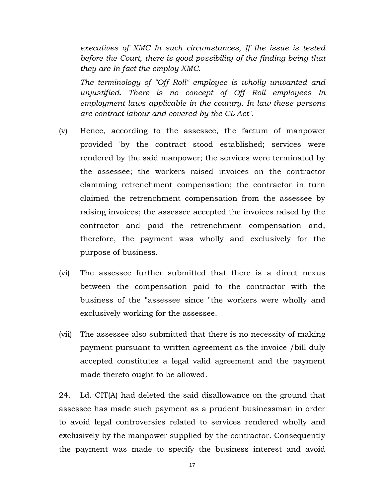executives of XMC In such circumstances, If the issue is tested before the Court, there is good possibility of the finding being that they are In fact the employ XMC.

The terminology of "Off Roll" employee is wholly unwanted and unjustified. There is no concept of Off Roll employees In employment laws applicable in the country. In law these persons are contract labour and covered by the CL Act".

- (v) Hence, according to the assessee, the factum of manpower provided 'by the contract stood established; services were rendered by the said manpower; the services were terminated by the assessee; the workers raised invoices on the contractor clamming retrenchment compensation; the contractor in turn claimed the retrenchment compensation from the assessee by raising invoices; the assessee accepted the invoices raised by the contractor and paid the retrenchment compensation and, therefore, the payment was wholly and exclusively for the purpose of business.
- (vi) The assessee further submitted that there is a direct nexus between the compensation paid to the contractor with the business of the "assessee since "the workers were wholly and exclusively working for the assessee.
- (vii) The assessee also submitted that there is no necessity of making payment pursuant to written agreement as the invoice /bill duly accepted constitutes a legal valid agreement and the payment made thereto ought to be allowed.

24. Ld. CIT(A) had deleted the said disallowance on the ground that assessee has made such payment as a prudent businessman in order to avoid legal controversies related to services rendered wholly and exclusively by the manpower supplied by the contractor. Consequently the payment was made to specify the business interest and avoid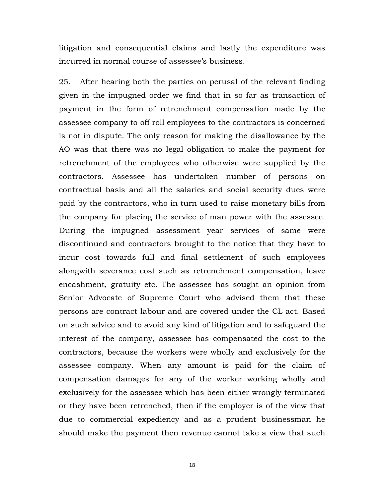litigation and consequential claims and lastly the expenditure was incurred in normal course of assessee's business.

25. After hearing both the parties on perusal of the relevant finding given in the impugned order we find that in so far as transaction of payment in the form of retrenchment compensation made by the assessee company to off roll employees to the contractors is concerned is not in dispute. The only reason for making the disallowance by the AO was that there was no legal obligation to make the payment for retrenchment of the employees who otherwise were supplied by the contractors. Assessee has undertaken number of persons on contractual basis and all the salaries and social security dues were paid by the contractors, who in turn used to raise monetary bills from the company for placing the service of man power with the assessee. During the impugned assessment year services of same were discontinued and contractors brought to the notice that they have to incur cost towards full and final settlement of such employees alongwith severance cost such as retrenchment compensation, leave encashment, gratuity etc. The assessee has sought an opinion from Senior Advocate of Supreme Court who advised them that these persons are contract labour and are covered under the CL act. Based on such advice and to avoid any kind of litigation and to safeguard the interest of the company, assessee has compensated the cost to the contractors, because the workers were wholly and exclusively for the assessee company. When any amount is paid for the claim of compensation damages for any of the worker working wholly and exclusively for the assessee which has been either wrongly terminated or they have been retrenched, then if the employer is of the view that due to commercial expediency and as a prudent businessman he should make the payment then revenue cannot take a view that such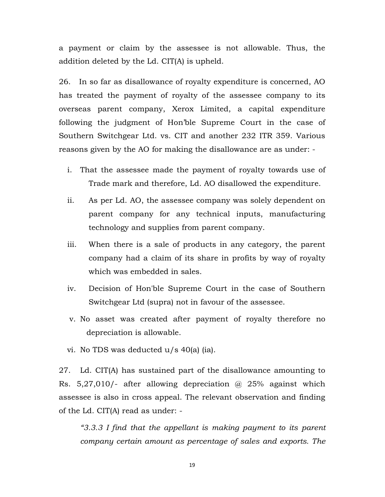a payment or claim by the assessee is not allowable. Thus, the addition deleted by the Ld. CIT(A) is upheld.

26. In so far as disallowance of royalty expenditure is concerned, AO has treated the payment of royalty of the assessee company to its overseas parent company, Xerox Limited, a capital expenditure following the judgment of Hon'ble Supreme Court in the case of Southern Switchgear Ltd. vs. CIT and another 232 ITR 359. Various reasons given by the AO for making the disallowance are as under: -

- i. That the assessee made the payment of royalty towards use of Trade mark and therefore, Ld. AO disallowed the expenditure.
- ii. As per Ld. AO, the assessee company was solely dependent on parent company for any technical inputs, manufacturing technology and supplies from parent company.
- iii. When there is a sale of products in any category, the parent company had a claim of its share in profits by way of royalty which was embedded in sales.
- iv. Decision of Hon'ble Supreme Court in the case of Southern Switchgear Ltd (supra) not in favour of the assessee.
- v. No asset was created after payment of royalty therefore no depreciation is allowable.
- vi. No TDS was deducted u/s 40(a) (ia).

27. Ld. CIT(A) has sustained part of the disallowance amounting to Rs.  $5,27,010$  - after allowing depreciation  $\omega$  25% against which assessee is also in cross appeal. The relevant observation and finding of the Ld. CIT(A) read as under: -

"3.3.3 I find that the appellant is making payment to its parent company certain amount as percentage of sales and exports. The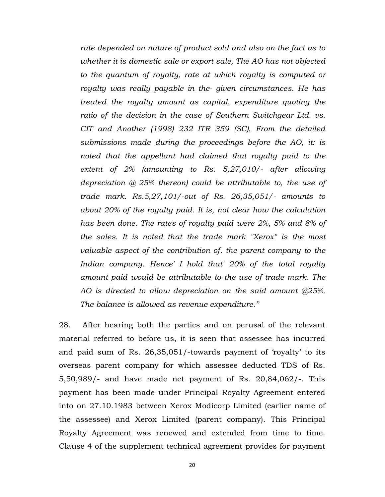rate depended on nature of product sold and also on the fact as to whether it is domestic sale or export sale, The AO has not objected to the quantum of royalty, rate at which royalty is computed or royalty was really payable in the- given circumstances. He has treated the royalty amount as capital, expenditure quoting the ratio of the decision in the case of Southern Switchgear Ltd. vs. CIT and Another (1998) 232 ITR 359 (SC), From the detailed submissions made during the proceedings before the AO, it: is noted that the appellant had claimed that royalty paid to the extent of 2% (amounting to Rs. 5,27,010/- after allowing depreciation  $\omega$  25% thereon) could be attributable to, the use of trade mark. Rs.5,27,101/-out of Rs. 26,35,051/- amounts to about 20% of the royalty paid. It is, not clear how the calculation has been done. The rates of royalty paid were 2%, 5% and 8% of the sales. It is noted that the trade mark "Xerox" is the most valuable aspect of the contribution of. the parent company to the Indian company. Hence' I hold that' 20% of the total royalty amount paid would be attributable to the use of trade mark. The AO is directed to allow depreciation on the said amount @25%. The balance is allowed as revenue expenditure."

28. After hearing both the parties and on perusal of the relevant material referred to before us, it is seen that assessee has incurred and paid sum of Rs. 26,35,051/-towards payment of 'royalty' to its overseas parent company for which assessee deducted TDS of Rs. 5,50,989/- and have made net payment of Rs. 20,84,062/-. This payment has been made under Principal Royalty Agreement entered into on 27.10.1983 between Xerox Modicorp Limited (earlier name of the assessee) and Xerox Limited (parent company). This Principal Royalty Agreement was renewed and extended from time to time. Clause 4 of the supplement technical agreement provides for payment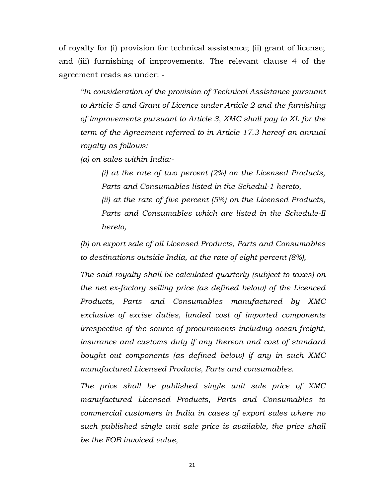of royalty for (i) provision for technical assistance; (ii) grant of license; and (iii) furnishing of improvements. The relevant clause 4 of the agreement reads as under: -

"In consideration of the provision of Technical Assistance pursuant to Article 5 and Grant of Licence under Article 2 and the furnishing of improvements pursuant to Article 3, XMC shall pay to XL for the term of the Agreement referred to in Article 17.3 hereof an annual royalty as follows:

(a) on sales within India:-

(i) at the rate of two percent  $(2%)$  on the Licensed Products, Parts and Consumables listed in the Schedul-1 hereto, (ii) at the rate of five percent (5%) on the Licensed Products, Parts and Consumables which are listed in the Schedule-II hereto,

(b) on export sale of all Licensed Products, Parts and Consumables to destinations outside India, at the rate of eight percent (8%),

The said royalty shall be calculated quarterly (subject to taxes) on the net ex-factory selling price (as defined below) of the Licenced Products, Parts and Consumables manufactured by XMC exclusive of excise duties, landed cost of imported components irrespective of the source of procurements including ocean freight, insurance and customs duty if any thereon and cost of standard bought out components (as defined below) if any in such XMC manufactured Licensed Products, Parts and consumables.

The price shall be published single unit sale price of XMC manufactured Licensed Products, Parts and Consumables to commercial customers in India in cases of export sales where no such published single unit sale price is available, the price shall be the FOB invoiced value,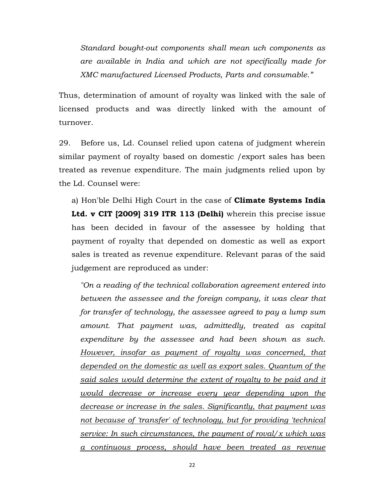Standard bought-out components shall mean uch components as are available in India and which are not specifically made for XMC manufactured Licensed Products, Parts and consumable."

Thus, determination of amount of royalty was linked with the sale of licensed products and was directly linked with the amount of turnover.

29. Before us, Ld. Counsel relied upon catena of judgment wherein similar payment of royalty based on domestic /export sales has been treated as revenue expenditure. The main judgments relied upon by the Ld. Counsel were:

a) Hon'ble Delhi High Court in the case of **Climate Systems India** Ltd. v CIT [2009] 319 ITR 113 (Delhi) wherein this precise issue has been decided in favour of the assessee by holding that payment of royalty that depended on domestic as well as export sales is treated as revenue expenditure. Relevant paras of the said judgement are reproduced as under:

"On a reading of the technical collaboration agreement entered into between the assessee and the foreign company, it was clear that for transfer of technology, the assessee agreed to pay a lump sum amount. That payment was, admittedly, treated as capital expenditure by the assessee and had been shown as such. However, insofar as payment of royalty was concerned, that depended on the domestic as well as export sales. Quantum of the said sales would determine the extent of royalty to be paid and it would decrease or increase every year depending upon the decrease or increase in the sales. Significantly, that payment was not because of 'transfer' of technology, but for providing 'technical service: In such circumstances, the payment of roval/ $x$  which was a continuous process, should have been treated as revenue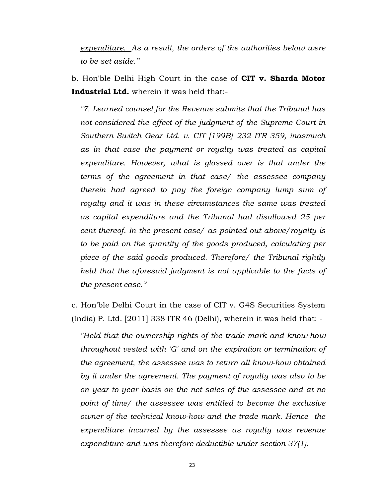expenditure. As a result, the orders of the authorities below were to be set aside."

b. Hon'ble Delhi High Court in the case of CIT v. Sharda Motor Industrial Ltd. wherein it was held that:-

"7. Learned counsel for the Revenue submits that the Tribunal has not considered the effect of the judgment of the Supreme Court in Southern Switch Gear Ltd. v. CIT [199B} 232 ITR 359, inasmuch as in that case the payment or royalty was treated as capital expenditure. However, what is glossed over is that under the terms of the agreement in that case/ the assessee company therein had agreed to pay the foreign company lump sum of royalty and it was in these circumstances the same was treated as capital expenditure and the Tribunal had disallowed 25 per cent thereof. In the present case/ as pointed out above/royalty is to be paid on the quantity of the goods produced, calculating per piece of the said goods produced. Therefore/ the Tribunal rightly held that the aforesaid judgment is not applicable to the facts of the present case."

c. Hon'ble Delhi Court in the case of CIT v. G4S Securities System (India) P. Ltd. [2011] 338 ITR 46 (Delhi), wherein it was held that: -

''Held that the ownership rights of the trade mark and know-how throughout vested with 'G' and on the expiration or termination of the agreement, the assessee was to return all know-how obtained by it under the agreement. The payment of royalty was also to be on year to year basis on the net sales of the assessee and at no point of time/ the assessee was entitled to become the exclusive owner of the technical know-how and the trade mark. Hence the expenditure incurred by the assessee as royalty was revenue expenditure and was therefore deductible under section 37(1).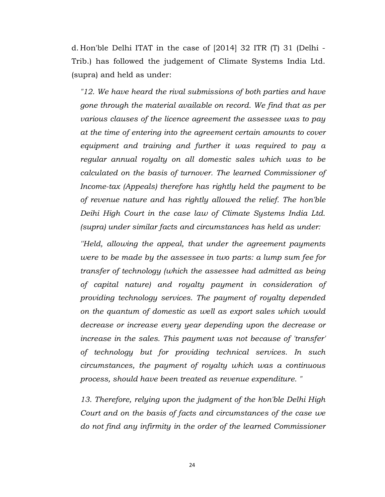d. Hon'ble Delhi ITAT in the case of [2014] 32 ITR (T) 31 (Delhi - Trib.) has followed the judgement of Climate Systems India Ltd. (supra) and held as under:

"12. We have heard the rival submissions of both parties and have gone through the material available on record. We find that as per various clauses of the licence agreement the assessee was to pay at the time of entering into the agreement certain amounts to cover equipment and training and further it was required to pay a regular annual royalty on all domestic sales which was to be calculated on the basis of turnover. The learned Commissioner of Income-tax (Appeals) therefore has rightly held the payment to be of revenue nature and has rightly allowed the relief. The hon'ble Deihi High Court in the case law of Climate Systems India Ltd. (supra) under similar facts and circumstances has held as under:

''Held, allowing the appeal, that under the agreement payments were to be made by the assessee in two parts: a lump sum fee for transfer of technology (which the assessee had admitted as being of capital nature) and royalty payment in consideration of providing technology services. The payment of royalty depended on the quantum of domestic as well as export sales which would decrease or increase every year depending upon the decrease or increase in the sales. This payment was not because of 'transfer' of technology but for providing technical services. In such circumstances, the payment of royalty which was a continuous process, should have been treated as revenue expenditure. "

13. Therefore, relying upon the judgment of the hon'ble Delhi High Court and on the basis of facts and circumstances of the case we do not find any infirmity in the order of the learned Commissioner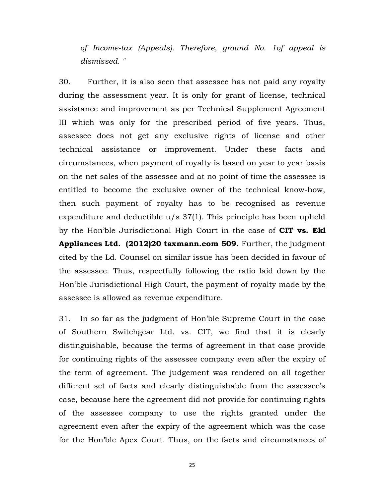of Income-tax (Appeals). Therefore, ground No. 1of appeal is dismissed. "

30. Further, it is also seen that assessee has not paid any royalty during the assessment year. It is only for grant of license, technical assistance and improvement as per Technical Supplement Agreement III which was only for the prescribed period of five years. Thus, assessee does not get any exclusive rights of license and other technical assistance or improvement. Under these facts and circumstances, when payment of royalty is based on year to year basis on the net sales of the assessee and at no point of time the assessee is entitled to become the exclusive owner of the technical know-how, then such payment of royalty has to be recognised as revenue expenditure and deductible u/s 37(1). This principle has been upheld by the Hon'ble Jurisdictional High Court in the case of CIT vs. Ekl Appliances Ltd. (2012)20 taxmann.com 509. Further, the judgment cited by the Ld. Counsel on similar issue has been decided in favour of the assessee. Thus, respectfully following the ratio laid down by the Hon'ble Jurisdictional High Court, the payment of royalty made by the assessee is allowed as revenue expenditure.

31. In so far as the judgment of Hon'ble Supreme Court in the case of Southern Switchgear Ltd. vs. CIT, we find that it is clearly distinguishable, because the terms of agreement in that case provide for continuing rights of the assessee company even after the expiry of the term of agreement. The judgement was rendered on all together different set of facts and clearly distinguishable from the assessee's case, because here the agreement did not provide for continuing rights of the assessee company to use the rights granted under the agreement even after the expiry of the agreement which was the case for the Hon'ble Apex Court. Thus, on the facts and circumstances of